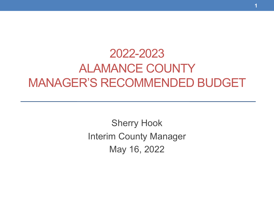### 2022-2023 ALAMANCE COUNTY MANAGER'S RECOMMENDED BUDGET

Sherry Hook Interim County Manager May 16, 2022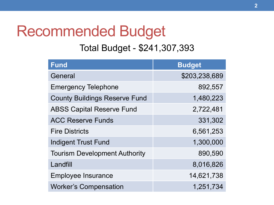### Recommended Budget

#### Total Budget - \$241,307,393

| <b>Fund</b>                          | <b>Budget</b> |
|--------------------------------------|---------------|
| General                              | \$203,238,689 |
| <b>Emergency Telephone</b>           | 892,557       |
| <b>County Buildings Reserve Fund</b> | 1,480,223     |
| <b>ABSS Capital Reserve Fund</b>     | 2,722,481     |
| <b>ACC Reserve Funds</b>             | 331,302       |
| <b>Fire Districts</b>                | 6,561,253     |
| <b>Indigent Trust Fund</b>           | 1,300,000     |
| <b>Tourism Development Authority</b> | 890,590       |
| Landfill                             | 8,016,826     |
| <b>Employee Insurance</b>            | 14,621,738    |
| <b>Worker's Compensation</b>         | 1,251,734     |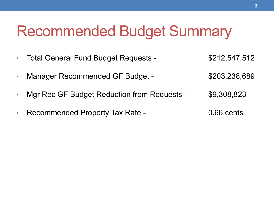### Recommended Budget Summary

- Total General Fund Budget Requests \$212,547,512
- Manager Recommended GF Budget \$203,238,689
- Mgr Rec GF Budget Reduction from Requests \$9,308,823
- Recommended Property Tax Rate 0.66 cents
	-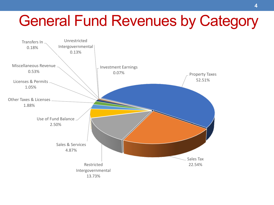# General Fund Revenues by Category

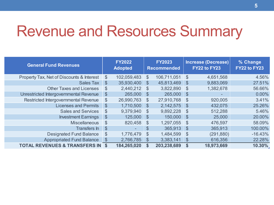### Revenue and Resources Summary

| <b>General Fund Revenues</b>                | <b>FY2022</b><br><b>Adopted</b> |             | <b>FY2023</b><br><b>Recommended</b> |             | <b>Increase (Decrease)</b><br>FY22 to FY23 |            | % Change<br>FY22 to FY23 |
|---------------------------------------------|---------------------------------|-------------|-------------------------------------|-------------|--------------------------------------------|------------|--------------------------|
| Property Tax, Net of Discounts & Interest   | \$                              | 102,059,483 | $\mathcal{S}$                       | 106,711,051 | $\mathcal{S}$                              | 4,651,568  | 4.56%                    |
| <b>Sales Tax</b>                            | $\mathcal{S}$                   | 35,930,400  | $\mathcal{S}$                       | 45,813,469  | $\mathfrak{S}$                             | 9,883,069  | 27.51%                   |
| <b>Other Taxes and Licenses</b>             | $\frac{1}{2}$                   | 2,440,212   | $\mathcal{S}$                       | 3,822,890   | $\mathcal{S}$                              | 1,382,678  | 56.66%                   |
| Unrestricted Intergovernmental Revenue      | $\boldsymbol{\theta}$           | 265,000     | $\boldsymbol{\mathsf{S}}$           | 265,000     | $\mathcal{S}$                              | -          | $0.00\%$                 |
| Restricted Intergovernmental Revenue        | $\frac{1}{2}$                   | 26,990,763  | $\mathcal{S}$                       | 27,910,768  | $\mathbb{S}$                               | 920,005    | 3.41%                    |
| <b>Licenses and Permits</b>                 | $\frac{1}{2}$                   | 1,710,500   | $\mathcal{S}$                       | 2,142,575   | $\mathcal{S}$                              | 432,075    | 25.26%                   |
| <b>Sales and Services</b>                   | $\frac{1}{2}$                   | 9,379,940   | $\mathcal{S}$                       | 9,892,228   | $\mathfrak{S}$                             | 512,288    | 5.46%                    |
| <b>Investment Earnings</b>                  | $\mathcal{L}$                   | 125,000     | $\mathcal{S}$                       | 150,000     | $\mathbb{S}$                               | 25,000     | 20.00%                   |
| <b>Miscellaneous</b>                        | $\$\$                           | 820,458     | $\mathcal{S}$                       | 1,297,055   | $\mathcal{S}$                              | 476,597    | 58.09%                   |
| <b>Transfers In</b>                         | $\mathcal{S}$                   |             | $\frac{1}{2}$                       | 365,913     | $\mathbb{S}$                               | 365,913    | 100.00%                  |
| <b>Designated Fund Balance</b>              | $\frac{1}{2}$                   | 1,776,479   | $\mathcal{S}$                       | 1,484,599   | $\mathbb{S}$                               | (291, 880) | $-16.43%$                |
| <b>Appropriated Fund Balance</b>            | $\frac{1}{2}$                   | 2,766,785   | $\mathcal{S}$                       | 3,383,141   | $\mathcal{S}$                              | 616,356    | 22.28%                   |
| <b>TOTAL REVENUES &amp; TRANSFERS IN \$</b> |                                 | 184,265,020 | $\boldsymbol{\mathsf{s}}$           | 203,238,689 | \$                                         | 18,973,669 | 10.30%                   |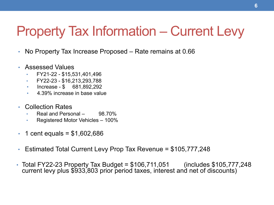### Property Tax Information – Current Levy

- No Property Tax Increase Proposed Rate remains at 0.66
- Assessed Values
	- FY21-22 \$15,531,401,496
	- FY22-23 \$16,213,293,788
	- Increase \$ 681,892,292
	- 4.39% increase in base value
- Collection Rates
	- Real and Personal 98.70%
	- Registered Motor Vehicles 100%
- 1 cent equals =  $$1,602,686$
- Estimated Total Current Levy Prop Tax Revenue = \$105,777,248
- Total FY22-23 Property Tax Budget = \$106,711,051 (includes \$105,777,248 current levy plus \$933,803 prior period taxes, interest and net of discounts)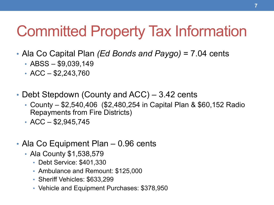# Committed Property Tax Information

- Ala Co Capital Plan *(Ed Bonds and Paygo)* = 7.04 cents
	- $ABS $9,039,149$
	- $ACC $2,243,760$
- Debt Stepdown (County and ACC) 3.42 cents
	- County \$2,540,406 (\$2,480,254 in Capital Plan & \$60,152 Radio Repayments from Fire Districts)
	- $ACC $2,945,745$
- Ala Co Equipment Plan 0.96 cents
	- Ala County \$1,538,579
		- Debt Service: \$401,330
		- Ambulance and Remount: \$125,000
		- Sheriff Vehicles: \$633,299
		- Vehicle and Equipment Purchases: \$378,950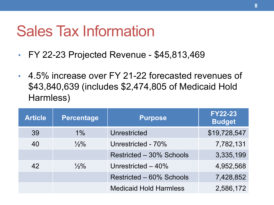### Sales Tax Information

- FY 22-23 Projected Revenue \$45,813,469
- 4.5% increase over FY 21-22 forecasted revenues of \$43,840,639 (includes \$2,474,805 of Medicaid Hold Harmless)

| <b>Article</b> | <b>Percentage</b> | <b>Purpose</b>                | <b>FY22-23</b><br><b>Budget</b> |
|----------------|-------------------|-------------------------------|---------------------------------|
| 39             | $1\%$             | Unrestricted                  | \$19,728,547                    |
| 40             | $\frac{1}{2}\%$   | Unrestricted - 70%            | 7,782,131                       |
|                |                   | Restricted - 30% Schools      | 3,335,199                       |
| 42             | $\frac{1}{2}\%$   | Unrestricted $-40%$           | 4,952,568                       |
|                |                   | Restricted - 60% Schools      | 7,428,852                       |
|                |                   | <b>Medicaid Hold Harmless</b> | 2,586,172                       |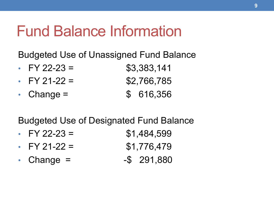### Fund Balance Information

Budgeted Use of Unassigned Fund Balance

| • FY 22-23 =       | \$3,383,141 |
|--------------------|-------------|
| $\cdot$ FY 21-22 = | \$2,766,785 |
| • Change $=$       | \$ 616,356  |

Budgeted Use of Designated Fund Balance

- FY 22-23 =  $$1,484,599$ • FY 21-22 =  $$1,776,479$
- Change =  $-$ \$ 291,880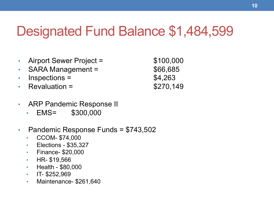### Designated Fund Balance \$1,484,599

- Airport Sewer Project  $=$  \$100,000
- SARA Management =  $$66,685$
- Inspections =  $$4,263$
- Revaluation =  $$270,149$

- ARP Pandemic Response II
	- EMS= \$300,000
- Pandemic Response Funds = \$743,502
	- CCOM- \$74,000
	- Elections \$35,327
	- Finance- \$20,000
	- HR- \$19,566
	- Health \$80,000
	- $\cdot$  IT- \$252,969
	- Maintenance- \$261,640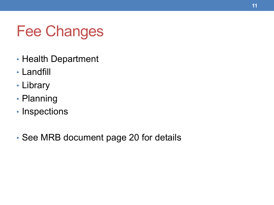# Fee Changes

- Health Department
- Landfill
- Library
- Planning
- Inspections
- See MRB document page 20 for details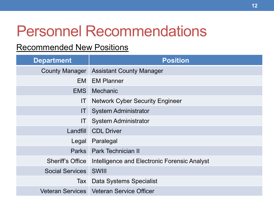# Personnel Recommendations

#### Recommended New Positions

| <b>Department</b>            | <b>Position</b>                              |
|------------------------------|----------------------------------------------|
| <b>County Manager</b>        | <b>Assistant County Manager</b>              |
|                              | <b>EM</b> EM Planner                         |
| EMS <b>B</b>                 | Mechanic                                     |
| IT                           | <b>Network Cyber Security Engineer</b>       |
| ΙT                           | <b>System Administrator</b>                  |
| IT                           | <b>System Administrator</b>                  |
| Landfill                     | <b>CDL Driver</b>                            |
| Legal                        | Paralegal                                    |
|                              | Parks Park Technician II                     |
| <b>Sheriff's Office</b>      | Intelligence and Electronic Forensic Analyst |
| <b>Social Services SWIII</b> |                                              |
| Tax                          | Data Systems Specialist                      |
|                              | Veteran Services   Veteran Service Officer   |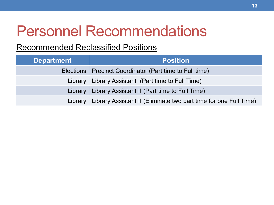# Personnel Recommendations

#### Recommended Reclassified Positions

| <b>Department</b> | <b>Position</b>                                                          |
|-------------------|--------------------------------------------------------------------------|
|                   | Elections   Precinct Coordinator (Part time to Full time)                |
|                   | Library   Library Assistant (Part time to Full Time)                     |
|                   | Library Library Assistant II (Part time to Full Time)                    |
|                   | Library Library Assistant II (Eliminate two part time for one Full Time) |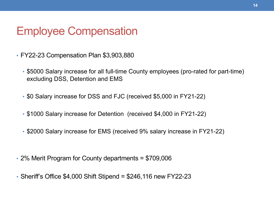#### Employee Compensation

- FY22-23 Compensation Plan \$3,903,880
	- \$5000 Salary increase for all full-time County employees (pro-rated for part-time) excluding DSS, Detention and EMS
	- \$0 Salary increase for DSS and FJC (received \$5,000 in FY21-22)
	- \$1000 Salary increase for Detention (received \$4,000 in FY21-22)
	- \$2000 Salary increase for EMS (received 9% salary increase in FY21-22)
- 2% Merit Program for County departments = \$709,006
- Sheriff's Office \$4,000 Shift Stipend = \$246,116 new FY22-23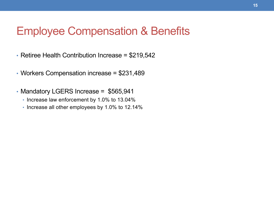#### Employee Compensation & Benefits

- Retiree Health Contribution Increase = \$219,542
- Workers Compensation increase = \$231,489
- Mandatory LGERS Increase = \$565,941
	- Increase law enforcement by 1.0% to 13.04%
	- Increase all other employees by 1.0% to 12.14%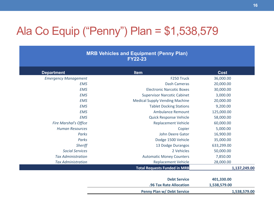### Ala Co Equip ("Penny") Plan = \$1,538,579

#### **MRB Vehicles and Equipment (Penny Plan) FY22-23**

| <b>Department</b>            | <b>Item</b>                           | <b>Cost</b>  |
|------------------------------|---------------------------------------|--------------|
| <b>Emergency Management</b>  | F <sub>250</sub> Truck                | 36,000.00    |
| <b>EMS</b>                   | Dash Cameras                          | 20,000.00    |
| <b>EMS</b>                   | <b>Electronic Narcotic Boxes</b>      | 30,000.00    |
| <b>EMS</b>                   | <b>Supervisor Narcotic Cabinet</b>    | 3,000.00     |
| <b>EMS</b>                   | <b>Medical Supply Vending Machine</b> | 20,000.00    |
| <b>EMS</b>                   | <b>Tablet Docking Stations</b>        | 9,200.00     |
| <b>EMS</b>                   | Ambulance Remount                     | 125,000.00   |
| <b>EMS</b>                   | <b>Quick Response Vehicle</b>         | 58,000.00    |
| <b>Fire Marshal's Office</b> | <b>Replacement Vehicle</b>            | 60,000.00    |
| <b>Human Resources</b>       | Copier                                | 5,000.00     |
| Parks                        | John Deere Gator                      | 16,900.00    |
| Parks                        | Dodge 1500 Vehicle                    | 35,000.00    |
| <b>Sheriff</b>               | 13 Dodge Durangos                     | 633,299.00   |
| <b>Social Services</b>       | 2 Vehicles                            | 50,000.00    |
| <b>Tax Administration</b>    | <b>Automatic Money Counters</b>       | 7,850.00     |
| <b>Tax Administration</b>    | <b>Replacement Vehicle</b>            | 28,000.00    |
|                              | <b>Total Requests Funded in MRB</b>   | 1,137,249.00 |

| <b>Debt Service</b>        | 401,330.00   |
|----------------------------|--------------|
| .96 Tax Rate Allocation    | 1,538,579.00 |
| Penny Plan w/ Debt Service | 1,538,579.00 |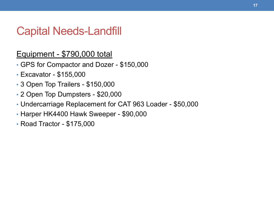#### Capital Needs-Landfill

#### Equipment - \$790,000 total

- GPS for Compactor and Dozer \$150,000
- Excavator \$155,000
- 3 Open Top Trailers \$150,000
- 2 Open Top Dumpsters \$20,000
- Undercarriage Replacement for CAT 963 Loader \$50,000
- Harper HK4400 Hawk Sweeper \$90,000
- Road Tractor \$175,000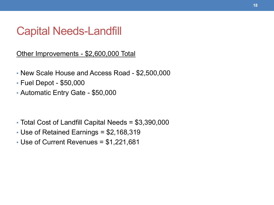#### Capital Needs-Landfill

Other Improvements - \$2,600,000 Total

- New Scale House and Access Road \$2,500,000
- Fuel Depot \$50,000
- Automatic Entry Gate \$50,000

- Total Cost of Landfill Capital Needs = \$3,390,000
- Use of Retained Earnings = \$2,168,319
- Use of Current Revenues = \$1,221,681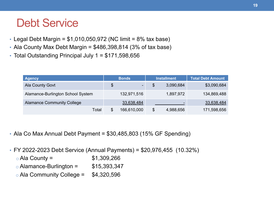### Debt Service

- Legal Debt Margin =  $$1,010,050,972$  (NC limit = 8% tax base)
- Ala County Max Debt Margin =  $$486,398,814$  (3% of tax base)
- Total Outstanding Principal July 1 = \$171,598,656

| <b>Agency</b>                     | <b>Bonds</b>                   | <b>Installment</b> | Total Debt Amount |
|-----------------------------------|--------------------------------|--------------------|-------------------|
| Ala County Govt                   | \$<br>$\overline{\phantom{a}}$ | \$<br>3,090,684    | \$3,090,684       |
| Alamance-Burlington School System | 132,971,516                    | 1,897,972          | 134,869,488       |
| <b>Alamance Community College</b> | 33,638,484                     | -                  | 33,638,484        |
| Total                             | \$<br>166,610,000              | \$<br>4,988,656    | 171,598,656       |

- Ala Co Max Annual Debt Payment = \$30,485,803 (15% GF Spending)
- FY 2022-2023 Debt Service (Annual Payments) = \$20,976,455 (10.32%)
	- $\circ$  Ala County =  $$1,309,266$
	- $\circ$  Alamance-Burlington =  $$15,393,347$
	- $\circ$  Ala Community College = \$4,320,596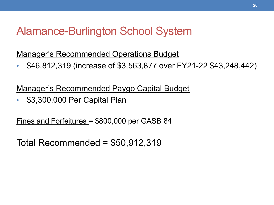#### Alamance-Burlington School System

Manager's Recommended Operations Budget

• \$46,812,319 (increase of \$3,563,877 over FY21-22 \$43,248,442)

Manager's Recommended Paygo Capital Budget

• \$3,300,000 Per Capital Plan

Fines and Forfeitures = \$800,000 per GASB 84

Total Recommended =  $$50,912,319$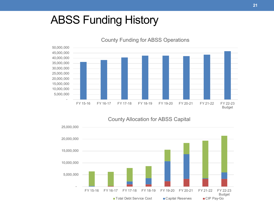#### ABSS Funding History



County Funding for ABSS Operations



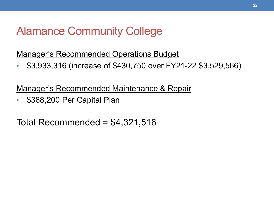### Alamance Community College

Manager's Recommended Operations Budget

• \$3,933,316 (increase of \$430,750 over FY21-22 \$3,529,566)

Manager's Recommended Maintenance & Repair

• \$388,200 Per Capital Plan

Total Recommended =  $$4,321,516$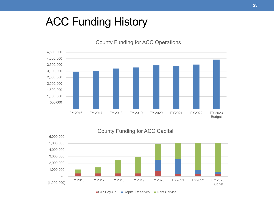#### ACC Funding History



County Funding for ACC Operations

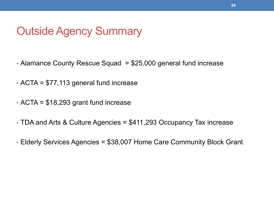#### Outside Agency Summary

- Alamance County Rescue Squad = \$25,000 general fund increase
- ACTA = \$77,113 general fund increase
- ACTA = \$18,293 grant fund increase
- TDA and Arts & Culture Agencies = \$411,293 Occupancy Tax increase
- Elderly Services Agencies = \$38,007 Home Care Community Block Grant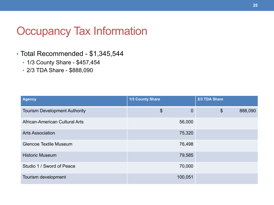#### Occupancy Tax Information

#### • Total Recommended - \$1,345,544

- 1/3 County Share \$457,454
- 2/3 TDA Share \$888,090

| <b>Agency</b>                        | <b>1/3 County Share</b> | 2/3 TDA Share            |
|--------------------------------------|-------------------------|--------------------------|
| <b>Tourism Development Authority</b> | \$<br>$\overline{0}$    | $\frac{1}{2}$<br>888,090 |
| African-American Cultural Arts       | 56,000                  |                          |
| <b>Arts Association</b>              | 75,320                  |                          |
| <b>Glencoe Textile Museum</b>        | 76,498                  |                          |
| <b>Historic Museum</b>               | 79,585                  |                          |
| Studio 1 / Sword of Peace            | 70,000                  |                          |
| Tourism development                  | 100,051                 |                          |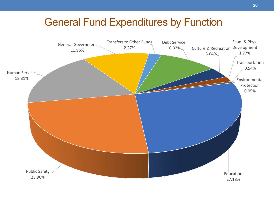#### General Fund Expenditures by Function

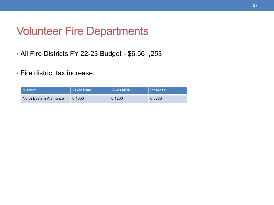#### Volunteer Fire Departments

- All Fire Districts FY 22-23 Budget \$6,561,253
- Fire district tax increase:

| l District <b>i</b>    | 21-22 Rate | 22-23 MRB | <b>Increase</b> |
|------------------------|------------|-----------|-----------------|
| North Eastern Alamance | 0.1000     | 0.1200    | 0.0200          |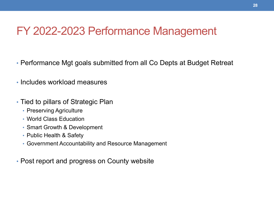#### FY 2022-2023 Performance Management

- Performance Mgt goals submitted from all Co Depts at Budget Retreat
- Includes workload measures
- Tied to pillars of Strategic Plan
	- Preserving Agriculture
	- World Class Education
	- Smart Growth & Development
	- Public Health & Safety
	- Government Accountability and Resource Management
- Post report and progress on County website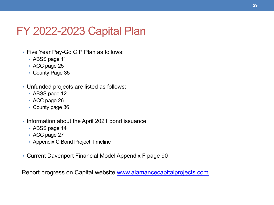### FY 2022-2023 Capital Plan

- Five Year Pay-Go CIP Plan as follows:
	- ABSS page 11
	- ACC page 25
	- County Page 35
- Unfunded projects are listed as follows:
	- ABSS page 12
	- ACC page 26
	- County page 36
- Information about the April 2021 bond issuance
	- ABSS page 14
	- ACC page 27
	- Appendix C Bond Project Timeline
- Current Davenport Financial Model Appendix F page 90

Report progress on Capital website www.alamancecapitalprojects.com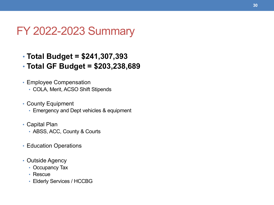#### FY 2022-2023 Summary

- **Total Budget = \$241,307,393**
- **Total GF Budget = \$203,238,689**
- Employee Compensation
	- COLA, Merit, ACSO Shift Stipends
- County Equipment
	- Emergency and Dept vehicles & equipment
- Capital Plan
	- ABSS, ACC, County & Courts
- Education Operations
- Outside Agency
	- Occupancy Tax
	- Rescue
	- Elderly Services / HCCBG